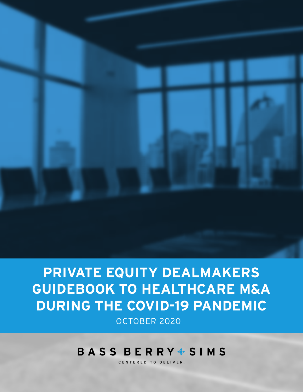

# **PRIVATE EQUITY DEALMAKERS GUIDEBOOK TO HEALTHCARE M&A DURING THE COVID-19 PANDEMIC**

OCTOBER 2020

## BASS BERRY SIMS

CENTERED TO DELIVER.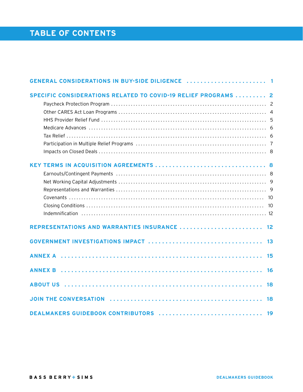<span id="page-1-0"></span>

| GENERAL CONSIDERATIONS IN BUY-SIDE DILIGENCE  1                |
|----------------------------------------------------------------|
| SPECIFIC CONSIDERATIONS RELATED TO COVID-19 RELIEF PROGRAMS  2 |
|                                                                |
|                                                                |
|                                                                |
|                                                                |
|                                                                |
|                                                                |
|                                                                |
|                                                                |
|                                                                |
|                                                                |
|                                                                |
|                                                                |
|                                                                |
|                                                                |
|                                                                |
| REPRESENTATIONS AND WARRANTIES INSURANCE  12                   |
|                                                                |
|                                                                |
|                                                                |
| -15                                                            |
| 16                                                             |
|                                                                |
| 18                                                             |
| 18                                                             |
|                                                                |
| DEALMAKERS GUIDEBOOK CONTRIBUTORS<br>19                        |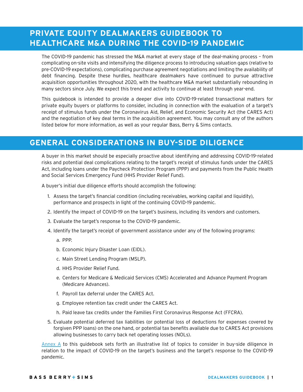## <span id="page-2-0"></span>**PRIVATE EQUITY DEALMAKERS GUIDEBOOK TO HEALTHCARE M&A DURING THE COVID-19 PANDEMIC**

The COVID-19 pandemic has stressed the M&A market at every stage of the deal-making process – from complicating on-site visits and intensifying the diligence process to introducing valuation gaps (relative to pre-COVID-19 expectations), complicating purchase agreement negotiations and limiting the availability of debt financing. Despite these hurdles, healthcare dealmakers have continued to pursue attractive acquisition opportunities throughout 2020, with the healthcare M&A market substantially rebounding in many sectors since July. We expect this trend and activity to continue at least through year-end.

This guidebook is intended to provide a deeper dive into COVID-19-related transactional matters for private equity buyers or platforms to consider, including in connection with the evaluation of a target's receipt of stimulus funds under the Coronavirus Aid, Relief, and Economic Security Act (the CARES Act) and the negotiation of key deal terms in the acquisition agreement. You may consult any of the authors listed below for more information, as well as your regular Bass, Berry & Sims contacts.

## **GENERAL CONSIDERATIONS IN BUY-SIDE DILIGENCE**

A buyer in this market should be especially proactive about identifying and addressing COVID-19-related risks and potential deal complications relating to the target's receipt of stimulus funds under the CARES Act, including loans under the Paycheck Protection Program (PPP) and payments from the Public Health and Social Services Emergency Fund (HHS Provider Relief Fund).

A buyer's initial due diligence efforts should accomplish the following:

- 1. Assess the target's financial condition (including receivables, working capital and liquidity), performance and prospects in light of the continuing COVID-19 pandemic.
- 2. Identify the impact of COVID-19 on the target's business, including its vendors and customers.
- 3. Evaluate the target's response to the COVID-19 pandemic.
- 4. Identify the target's receipt of government assistance under any of the following programs:
	- a. PPP.
	- b. Economic Injury Disaster Loan (EIDL).
	- c. Main Street Lending Program (MSLP).
	- d. HHS Provider Relief Fund.
	- e. Centers for Medicare & Medicaid Services (CMS) Accelerated and Advance Payment Program (Medicare Advances).
	- f. Payroll tax deferral under the CARES Act.
	- g. Employee retention tax credit under the CARES Act.
	- h. Paid leave tax credits under the Families First Coronavirus Response Act (FFCRA).
- 5. Evaluate potential deferred tax liabilities (or potential loss of deductions for expenses covered by forgiven PPP loans) on the one hand, or potential tax benefits available due to CARES Act provisions allowing businesses to carry back net operating losses (NOLs).

[Annex A](#page-16-0) to this guidebook sets forth an illustrative list of topics to consider in buy-side diligence in relation to the impact of COVID-19 on the target's business and the target's response to the COVID-19 pandemic.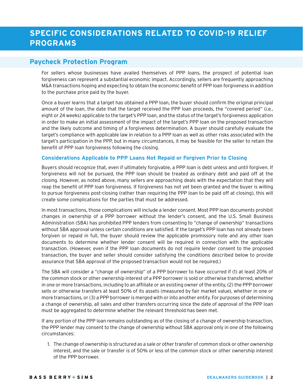## <span id="page-3-0"></span>**SPECIFIC CONSIDERATIONS RELATED TO COVID-19 RELIEF PROGRAMS**

#### **Paycheck Protection Program**

For sellers whose businesses have availed themselves of PPP loans, the prospect of potential loan forgiveness can represent a substantial economic impact. Accordingly, sellers are frequently approaching M&A transactions hoping and expecting to obtain the economic benefit of PPP loan forgiveness in addition to the purchase price paid by the buyer.

Once a buyer learns that a target has obtained a PPP loan, the buyer should confirm the original principal amount of the loan, the date that the target received the PPP loan proceeds, the "covered period" (*i.e.*, eight or 24 weeks) applicable to the target's PPP loan, and the status of the target's forgiveness application in order to make an initial assessment of the impact of the target's PPP loan on the proposed transaction and the likely outcome and timing of a forgiveness determination. A buyer should carefully evaluate the target's compliance with applicable law in relation to a PPP loan as well as other risks associated with the target's participation in the PPP, but in many circumstances, it may be feasible for the seller to retain the benefit of PPP loan forgiveness following the closing.

#### **Considerations Applicable to PPP Loans Not Repaid or Forgiven Prior to Closing**

Buyers should recognize that, even if ultimately forgivable, a PPP loan is debt unless and until forgiven. If forgiveness will not be pursued, the PPP loan should be treated as ordinary debt and paid off at the closing. However, as noted above, many sellers are approaching deals with the expectation that they will reap the benefit of PPP loan forgiveness. If forgiveness has not yet been granted and the buyer is willing to pursue forgiveness post-closing (rather than requiring the PPP loan to be paid off at closing), this will create some complications for the parties that must be addressed.

In most transactions, those complications will include a lender consent. Most PPP loan documents prohibit changes in ownership of a PPP borrower without the lender's consent, and the U.S. Small Business Administration (SBA) has prohibited PPP lenders from consenting to "change of ownership" transactions without SBA approval unless certain conditions are satisfied. If the target's PPP loan has not already been forgiven or repaid in full, the buyer should review the applicable promissory note and any other loan documents to determine whether lender consent will be required in connection with the applicable transaction. (However, even if the PPP loan documents do not require lender consent to the proposed transaction, the buyer and seller should consider satisfying the conditions described below to provide assurance that SBA approval of the proposed transaction would not be required.)

The SBA will consider a "change of ownership" of a PPP borrower to have occurred if (1) at least 20% of the common stock or other ownership interest of a PPP borrower is sold or otherwise transferred, whether in one or more transactions, including to an affiliate or an existing owner of the entity, (2) the PPP borrower sells or otherwise transfers at least 50% of its assets (measured by fair market value), whether in one or more transactions, or (3) a PPP borrower is merged with or into another entity. For purposes of determining a change of ownership, all sales and other transfers occurring since the date of approval of the PPP loan must be aggregated to determine whether the relevant threshold has been met.

If any portion of the PPP loan remains outstanding as of the closing of a change of ownership transaction, the PPP lender may consent to the change of ownership without SBA approval only in one of the following circumstances:

1. The change of ownership is structured as a sale or other transfer of common stock or other ownership interest, and the sale or transfer is of 50% or less of the common stock or other ownership interest of the PPP borrower.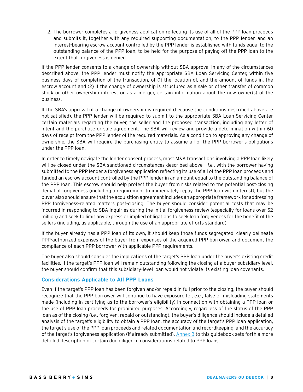2. The borrower completes a forgiveness application reflecting its use of all of the PPP loan proceeds and submits it, together with any required supporting documentation, to the PPP lender, and an interest-bearing escrow account controlled by the PPP lender is established with funds equal to the outstanding balance of the PPP loan, to be held for the purpose of paying off the PPP loan to the extent that forgiveness is denied.

If the PPP lender consents to a change of ownership without SBA approval in any of the circumstances described above, the PPP lender must notify the appropriate SBA Loan Servicing Center, within five business days of completion of the transaction, of (1) the location of, and the amount of funds in, the escrow account and (2) if the change of ownership is structured as a sale or other transfer of common stock or other ownership interest or as a merger, certain information about the new owner(s) of the business.

If the SBA's approval of a change of ownership is required (because the conditions described above are not satisfied), the PPP lender will be required to submit to the appropriate SBA Loan Servicing Center certain materials regarding the buyer, the seller and the proposed transaction, including any letter of intent and the purchase or sale agreement. The SBA will review and provide a determination within 60 days of receipt from the PPP lender of the required materials. As a condition to approving any change of ownership, the SBA will require the purchasing entity to assume all of the PPP borrower's obligations under the PPP loan.

In order to timely navigate the lender consent process, most M&A transactions involving a PPP loan likely will be closed under the SBA-sanctioned circumstances described above – *i.e.*, with the borrower having submitted to the PPP lender a forgiveness application reflecting its use of all of the PPP loan proceeds and funded an escrow account controlled by the PPP lender in an amount equal to the outstanding balance of the PPP loan. This escrow should help protect the buyer from risks related to the potential post-closing denial of forgiveness (including a requirement to immediately repay the PPP loan with interest), but the buyer also should ensure that the acquisition agreement includes an appropriate framework for addressing PPP forgiveness-related matters post-closing. The buyer should consider potential costs that may be incurred in responding to SBA inquiries during the initial forgiveness review (especially for loans over \$2 million) and seek to limit any express or implied obligations to seek loan forgiveness for the benefit of the sellers (including, as applicable, through the use of an appropriate efforts standard).

If the buyer already has a PPP loan of its own, it should keep those funds segregated, clearly delineate PPP-authorized expenses of the buyer from expenses of the acquired PPP borrower, and document the compliance of each PPP borrower with applicable PPP requirements.

The buyer also should consider the implications of the target's PPP loan under the buyer's existing credit facilities. If the target's PPP loan will remain outstanding following the closing at a buyer subsidiary level, the buyer should confirm that this subsidiary-level loan would not violate its existing loan covenants.

#### **Considerations Applicable to All PPP Loans**

Even if the target's PPP loan has been forgiven and/or repaid in full prior to the closing, the buyer should recognize that the PPP borrower will continue to have exposure for, *e.g.*, false or misleading statements made (including in certifying as to the borrower's eligibility) in connection with obtaining a PPP loan or the use of PPP loan proceeds for prohibited purposes. Accordingly, regardless of the status of the PPP loan as of the closing (*i.e.*, forgiven, repaid or outstanding), the buyer's diligence should include a detailed analysis of the target's eligibility to obtain a PPP loan, the accuracy of the target's PPP loan application, the target's use of the PPP loan proceeds and related documentation and recordkeeping, and the accuracy of the target's forgiveness application (if already submitted). [Annex B](#page-17-0) to this guidebook sets forth a more detailed description of certain due diligence considerations related to PPP loans.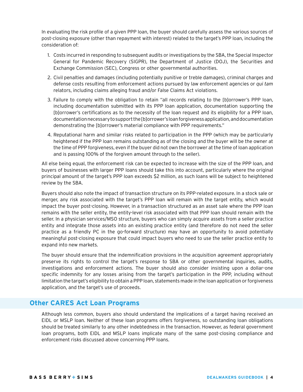<span id="page-5-0"></span>In evaluating the risk profile of a given PPP loan, the buyer should carefully assess the various sources of post-closing exposure (other than repayment with interest) related to the target's PPP loan, including the consideration of:

- 1. Costs incurred in responding to subsequent audits or investigations by the SBA, the Special Inspector General for Pandemic Recovery (SIGPR), the Department of Justice (DOJ), the Securities and Exchange Commission (SEC), Congress or other governmental authorities.
- 2. Civil penalties and damages (including potentially punitive or treble damages), criminal charges and defense costs resulting from enforcement actions pursued by law enforcement agencies or *qui tam* relators, including claims alleging fraud and/or False Claims Act violations.
- 3. Failure to comply with the obligation to retain "all records relating to the [b]orrower's PPP loan, including documentation submitted with its PPP loan application, documentation supporting the [b]orrower's certifications as to the necessity of the loan request and its eligibility for a PPP loan, documentation necessary to support the [b]orrower's loan forgiveness application, and documentation demonstrating the [b]orrower's material compliance with PPP requirements."
- 4. Reputational harm and similar risks related to participation in the PPP (which may be particularly heightened if the PPP loan remains outstanding as of the closing and the buyer will be the owner at the time of PPP forgiveness, even if the buyer did not own the borrower at the time of loan application and is passing 100% of the forgiven amount through to the seller).

All else being equal, the enforcement risk can be expected to increase with the size of the PPP loan, and buyers of businesses with larger PPP loans should take this into account, particularly where the original principal amount of the target's PPP loan exceeds \$2 million, as such loans will be subject to heightened review by the SBA.

Buyers should also note the impact of transaction structure on its PPP-related exposure. In a stock sale or merger, any risk associated with the target's PPP loan will remain with the target entity, which would impact the buyer post-closing. However, in a transaction structured as an asset sale where the PPP loan remains with the seller entity, the entity-level risk associated with that PPP loan should remain with the seller. In a physician services/MSO structure, buyers who can simply acquire assets from a seller practice entity and integrate those assets into an existing practice entity (and therefore do not need the seller practice as a friendly PC in the go-forward structure) may have an opportunity to avoid potentially meaningful post-closing exposure that could impact buyers who need to use the seller practice entity to expand into new markets.

The buyer should ensure that the indemnification provisions in the acquisition agreement appropriately preserve its rights to control the target's response to SBA or other governmental inquiries, audits, investigations and enforcement actions. The buyer should also consider insisting upon a dollar-one specific indemnity for any losses arising from the target's participation in the PPP, including without limitation the target's eligibility to obtain a PPP loan, statements made in the loan application or forgiveness application, and the target's use of proceeds.

#### **Other CARES Act Loan Programs**

Although less common, buyers also should understand the implications of a target having received an EIDL or MSLP loan. Neither of these loan programs offers forgiveness, so outstanding loan obligations should be treated similarly to any other indebtedness in the transaction. However, as federal government loan programs, both EIDL and MSLP loans implicate many of the same post-closing compliance and enforcement risks discussed above concerning PPP loans.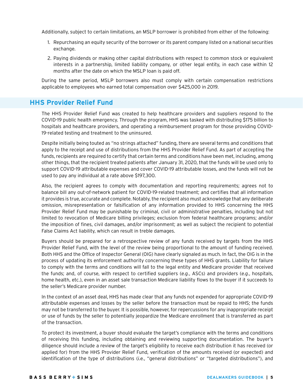<span id="page-6-0"></span>Additionally, subject to certain limitations, an MSLP borrower is prohibited from either of the following:

- 1. Repurchasing an equity security of the borrower or its parent company listed on a national securities exchange.
- 2. Paying dividends or making other capital distributions with respect to common stock or equivalent interests in a partnership, limited liability company, or other legal entity, in each case within 12 months after the date on which the MSLP loan is paid off.

During the same period, MSLP borrowers also must comply with certain compensation restrictions applicable to employees who earned total compensation over \$425,000 in 2019.

#### **HHS Provider Relief Fund**

The HHS Provider Relief Fund was created to help healthcare providers and suppliers respond to the COVID-19 public health emergency. Through the program, HHS was tasked with distributing \$175 billion to hospitals and healthcare providers, and operating a reimbursement program for those providing COVID-19-related testing and treatment to the uninsured.

Despite initially being touted as "no strings attached" funding, there are several terms and conditions that apply to the receipt and use of distributions from the HHS Provider Relief Fund. As part of accepting the funds, recipients are required to certify that certain terms and conditions have been met, including, among other things, that the recipient treated patients after January 31, 2020, that the funds will be used only to support COVID-19 attributable expenses and cover COVID-19 attributable losses, and the funds will not be used to pay any individual at a rate above \$197,300.

Also, the recipient agrees to comply with documentation and reporting requirements; agrees not to balance bill any out-of-network patient for COVID-19-related treatment; and certifies that all information it provides is true, accurate and complete. Notably, the recipient also must acknowledge that any deliberate omission, misrepresentation or falsification of any information provided to HHS concerning the HHS Provider Relief Fund may be punishable by criminal, civil or administrative penalties, including but not limited to revocation of Medicare billing privileges; exclusion from federal healthcare programs; and/or the imposition of fines, civil damages, and/or imprisonment; as well as subject the recipient to potential False Claims Act liability, which can result in treble damages.

Buyers should be prepared for a retrospective review of any funds received by targets from the HHS Provider Relief Fund, with the level of the review being proportional to the amount of funding received. Both HHS and the Office of Inspector General (OIG) have clearly signaled as much. In fact, the OIG is in the process of updating its enforcement authority concerning these types of HHS grants. Liability for failure to comply with the terms and conditions will fall to the legal entity and Medicare provider that received the funds; and, of course, with respect to certified suppliers (*e.g.*, ASCs) and providers (*e.g.*, hospitals, home health, etc.), even in an asset sale transaction Medicare liability flows to the buyer if it succeeds to the seller's Medicare provider number.

In the context of an asset deal, HHS has made clear that any funds not expended for appropriate COVID-19 attributable expenses and losses by the seller before the transaction must be repaid to HHS; the funds may not be transferred to the buyer. It is possible, however, for repercussions for any inappropriate receipt or use of funds by the seller to potentially jeopardize the Medicare enrollment that is transferred as part of the transaction.

To protect its investment, a buyer should evaluate the target's compliance with the terms and conditions of receiving this funding, including obtaining and reviewing supporting documentation. The buyer's diligence should include a review of the target's eligibility to receive each distribution it has received (or applied for) from the HHS Provider Relief Fund, verification of the amounts received (or expected) and identification of the type of distributions (*i.e.*, "general distributions" or "targeted distributions"), and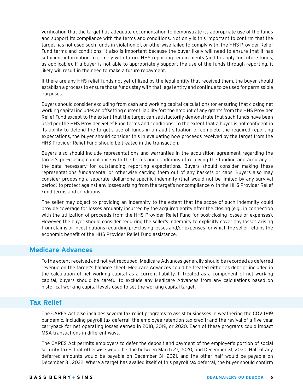<span id="page-7-0"></span>verification that the target has adequate documentation to demonstrate its appropriate use of the funds and support its compliance with the terms and conditions. Not only is this important to confirm that the target has not used such funds in violation of, or otherwise failed to comply with, the HHS Provider Relief Fund terms and conditions; it also is important because the buyer likely will need to ensure that it has sufficient information to comply with future HHS reporting requirements (and to apply for future funds, as applicable). If a buyer is not able to appropriately support the use of the funds through reporting, it likely will result in the need to make a future repayment.

If there are any HHS relief funds not yet utilized by the legal entity that received them, the buyer should establish a process to ensure those funds stay with that legal entity and continue to be used for permissible purposes.

Buyers should consider excluding from cash and working capital calculations (or ensuring that closing net working capital includes an offsetting current liability for) the amount of any grants from the HHS Provider Relief Fund except to the extent that the target can satisfactorily demonstrate that such funds have been used per the HHS Provider Relief Fund terms and conditions. To the extent that a buyer is not confident in its ability to defend the target's use of funds in an audit situation or complete the required reporting expectations, the buyer should consider this in evaluating how proceeds received by the target from the HHS Provider Relief Fund should be treated in the transaction.

Buyers also should include representations and warranties in the acquisition agreement regarding the target's pre-closing compliance with the terms and conditions of receiving the funding and accuracy of the data necessary for outstanding reporting expectations. Buyers should consider making these representations fundamental or otherwise carving them out of any baskets or caps. Buyers also may consider proposing a separate, dollar-one specific indemnity (that would not be limited by any survival period) to protect against any losses arising from the target's noncompliance with the HHS Provider Relief Fund terms and conditions.

The seller may object to providing an indemnity to the extent that the scope of such indemnity could provide coverage for losses arguably incurred by the acquired entity after the closing (*e.g.*, in connection with the utilization of proceeds from the HHS Provider Relief Fund for post-closing losses or expenses). However, the buyer should consider requiring the seller's indemnity to explicitly cover any losses arising from claims or investigations regarding pre-closing losses and/or expenses for which the seller retains the economic benefit of the HHS Provider Relief Fund assistance.

#### **Medicare Advances**

To the extent received and not yet recouped, Medicare Advances generally should be recorded as deferred revenue on the target's balance sheet. Medicare Advances could be treated either as debt or included in the calculation of net working capital as a current liability. If treated as a component of net working capital, buyers should be careful to exclude any Medicare Advances from any calculations based on historical working capital levels used to set the working capital target.

#### **Tax Relief**

The CARES Act also includes several tax relief programs to assist businesses in weathering the COVID-19 pandemic, including payroll tax deferral; the employee retention tax credit; and the revival of a five-year carryback for net operating losses earned in 2018, 2019, or 2020. Each of these programs could impact M&A transactions in different ways.

The CARES Act permits employers to defer the deposit and payment of the employer's portion of social security taxes that otherwise would be due between March 27, 2020, and December 31, 2020. Half of any deferred amounts would be payable on December 31, 2021, and the other half would be payable on December 31, 2022. Where a target has availed itself of this payroll tax deferral, the buyer should confirm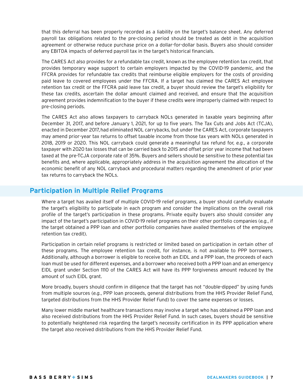<span id="page-8-0"></span>that this deferral has been properly recorded as a liability on the target's balance sheet. Any deferred payroll tax obligations related to the pre-closing period should be treated as debt in the acquisition agreement or otherwise reduce purchase price on a dollar-for-dollar basis. Buyers also should consider any EBITDA impacts of deferred payroll tax in the target's historical financials.

The CARES Act also provides for a refundable tax credit, known as the employee retention tax credit, that provides temporary wage support to certain employers impacted by the COVID-19 pandemic, and the FFCRA provides for refundable tax credits that reimburse eligible employers for the costs of providing paid leave to covered employees under the FFCRA. If a target has claimed the CARES Act employee retention tax credit or the FFCRA paid leave tax credit, a buyer should review the target's eligibility for these tax credits, ascertain the dollar amount claimed and received, and ensure that the acquisition agreement provides indemnification to the buyer if these credits were improperly claimed with respect to pre-closing periods.

The CARES Act also allows taxpayers to carryback NOLs generated in taxable years beginning after December 31, 2017, and before January 1, 2021, for up to five years. The Tax Cuts and Jobs Act (TCJA), enacted in December 2017, had eliminated NOL carrybacks, but under the CARES Act, corporate taxpayers may amend prior-year tax returns to offset taxable income from those tax years with NOLs generated in 2018, 2019 or 2020. This NOL carryback could generate a meaningful tax refund for, *e.g.*, a corporate taxpayer with 2020 tax losses that can be carried back to 2015 and offset prior year income that had been taxed at the pre-TCJA corporate rate of 35%. Buyers and sellers should be sensitive to these potential tax benefits and, where applicable, appropriately address in the acquisition agreement the allocation of the economic benefit of any NOL carryback and procedural matters regarding the amendment of prior year tax returns to carryback the NOLs.

#### **Participation in Multiple Relief Programs**

Where a target has availed itself of multiple COVID-19 relief programs, a buyer should carefully evaluate the target's eligibility to participate in each program and consider the implications on the overall risk profile of the target's participation in these programs. Private equity buyers also should consider any impact of the target's participation in COVID-19 relief programs on their other portfolio companies (*e.g.*, if the target obtained a PPP loan and other portfolio companies have availed themselves of the employee retention tax credit).

Participation in certain relief programs is restricted or limited based on participation in certain other of these programs. The employee retention tax credit, for instance, is not available to PPP borrowers. Additionally, although a borrower is eligible to receive both an EIDL and a PPP loan, the proceeds of each loan must be used for different expenses, and a borrower who received both a PPP loan and an emergency EIDL grant under Section 1110 of the CARES Act will have its PPP forgiveness amount reduced by the amount of such EIDL grant.

More broadly, buyers should confirm in diligence that the target has not "double-dipped" by using funds from multiple sources (*e.g.*, PPP loan proceeds, general distributions from the HHS Provider Relief Fund, targeted distributions from the HHS Provider Relief Fund) to cover the same expenses or losses.

Many lower middle market healthcare transactions may involve a target who has obtained a PPP loan and also received distributions from the HHS Provider Relief Fund. In such cases, buyers should be sensitive to potentially heightened risk regarding the target's necessity certification in its PPP application where the target also received distributions from the HHS Provider Relief Fund.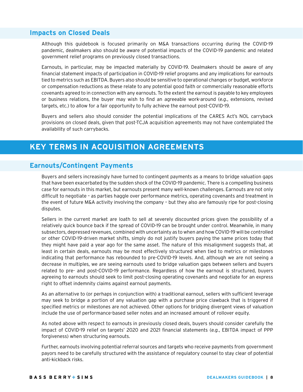#### <span id="page-9-0"></span>**Impacts on Closed Deals**

Although this guidebook is focused primarily on M&A transactions occurring during the COVID-19 pandemic, dealmakers also should be aware of potential impacts of the COVID-19 pandemic and related government relief programs on previously closed transactions.

Earnouts, in particular, may be impacted materially by COVID-19. Dealmakers should be aware of any financial statement impacts of participation in COVID-19 relief programs and any implications for earnouts tied to metrics such as EBITDA. Buyers also should be sensitive to operational changes or budget, workforce or compensation reductions as these relate to any potential good faith or commercially reasonable efforts covenants agreed to in connection with any earnouts. To the extent the earnout is payable to key employees or business relations, the buyer may wish to find an agreeable work-around (*e.g.*, extensions, revised targets, etc.) to allow for a fair opportunity to fully achieve the earnout post-COVID-19.

Buyers and sellers also should consider the potential implications of the CARES Act's NOL carryback provisions on closed deals, given that post-TCJA acquisition agreements may not have contemplated the availability of such carrybacks.

## **KEY TERMS IN ACQUISITION AGREEMENTS**

#### **Earnouts/Contingent Payments**

Buyers and sellers increasingly have turned to contingent payments as a means to bridge valuation gaps that have been exacerbated by the sudden shock of the COVID-19 pandemic. There is a compelling business case for earnouts in this market, but earnouts present many well-known challenges. Earnouts are not only difficult to negotiate – as parties haggle over performance metrics, operating covenants and treatment in the event of future M&A activity involving the company – but they also are famously ripe for post-closing disputes.

Sellers in the current market are loath to sell at severely discounted prices given the possibility of a relatively quick bounce back if the spread of COVID-19 can be brought under control. Meanwhile, in many subsectors, depressed revenues, combined with uncertainty as to when and how COVID-19 will be controlled or other COVID-19-driven market shifts, simply do not justify buyers paying the same prices today that they might have paid a year ago for the same asset. The nature of this misalignment suggests that, at least in certain deals, earnouts may be most effectively structured when tied to metrics or milestones indicating that performance has rebounded to pre-COVID-19 levels. And, although we are not seeing a decrease in multiples, we are seeing earnouts used to bridge valuation gaps between sellers and buyers related to pre- and post-COVID-19 performance. Regardless of how the earnout is structured, buyers agreeing to earnouts should seek to limit post-closing operating covenants and negotiate for an express right to offset indemnity claims against earnout payments.

As an alternative to (or perhaps in conjunction with) a traditional earnout, sellers with sufficient leverage may seek to bridge a portion of any valuation gap with a purchase price clawback that is triggered if specified metrics or milestones are not achieved. Other options for bridging divergent views of valuation include the use of performance-based seller notes and an increased amount of rollover equity.

As noted above with respect to earnouts in previously closed deals, buyers should consider carefully the impact of COVID-19 relief on targets' 2020 and 2021 financial statements (*e.g.*, EBITDA impact of PPP forgiveness) when structuring earnouts.

Further, earnouts involving potential referral sources and targets who receive payments from government payors need to be carefully structured with the assistance of regulatory counsel to stay clear of potential anti-kickback risks.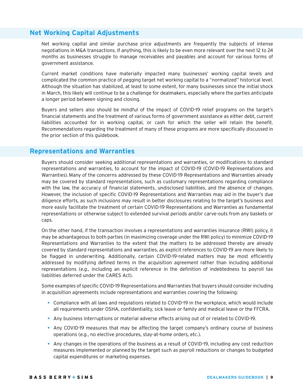#### <span id="page-10-0"></span>**Net Working Capital Adjustments**

Net working capital and similar purchase price adjustments are frequently the subjects of intense negotiations in M&A transactions. If anything, this is likely to be even more relevant over the next 12 to 24 months as businesses struggle to manage receivables and payables and account for various forms of government assistance.

Current market conditions have materially impacted many businesses' working capital levels and complicated the common practice of pegging target net working capital to a "normalized" historical level. Although the situation has stabilized, at least to some extent, for many businesses since the initial shock in March, this likely will continue to be a challenge for dealmakers, especially where the parties anticipate a longer period between signing and closing.

Buyers and sellers also should be mindful of the impact of COVID-19 relief programs on the target's financial statements and the treatment of various forms of government assistance as either debt, current liabilities accounted for in working capital, or cash for which the seller will retain the benefit. Recommendations regarding the treatment of many of these programs are more specifically discussed in the prior section of this guidebook.

#### **Representations and Warranties**

Buyers should consider seeking additional representations and warranties, or modifications to standard representations and warranties, to account for the impact of COVID-19 (COVID-19 Representations and Warranties). Many of the concerns addressed by these COVID-19 Representations and Warranties already may be covered by standard representations, such as customary representations regarding compliance with the law, the accuracy of financial statements, undisclosed liabilities, and the absence of changes. However, the inclusion of specific COVID-19 Representations and Warranties may aid in the buyer's due diligence efforts, as such inclusions may result in better disclosures relating to the target's business and more easily facilitate the treatment of certain COVID-19 Representations and Warranties as fundamental representations or otherwise subject to extended survival periods and/or carve-outs from any baskets or caps.

On the other hand, if the transaction involves a representations and warranties insurance (RWI) policy, it may be advantageous to both parties (in maximizing coverage under the RWI policy) to minimize COVID-19 Representations and Warranties to the extent that the matters to be addressed thereby are already covered by standard representations and warranties, as explicit references to COVID-19 are more likely to be flagged in underwriting. Additionally, certain COVID-19-related matters may be most efficiently addressed by modifying defined terms in the acquisition agreement rather than including additional representations (*e.g.*, including an explicit reference in the definition of indebtedness to payroll tax liabilities deferred under the CARES Act).

Some examples of specific COVID-19 Representations and Warranties that buyers should consider including in acquisition agreements include representations and warranties covering the following:

- Compliance with all laws and regulations related to COVID-19 in the workplace, which would include all requirements under OSHA, confidentiality, sick leave or family and medical leave or the FFCRA.
- Any business interruptions or material adverse effects arising out of or related to COVID-19.
- Any COVID-19 measures that may be affecting the target company's ordinary course of business operations (*e.g.*, no elective procedures, stay-at-home orders, etc.).
- Any changes in the operations of the business as a result of COVID-19, including any cost reduction measures implemented or planned by the target such as payroll reductions or changes to budgeted capital expenditures or marketing expenses.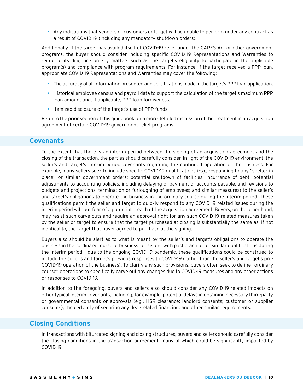<span id="page-11-0"></span> Any indications that vendors or customers or target will be unable to perform under any contract as a result of COVID-19 (including any mandatory shutdown orders).

Additionally, if the target has availed itself of COVID-19 relief under the CARES Act or other government programs, the buyer should consider including specific COVID-19 Representations and Warranties to reinforce its diligence on key matters such as the target's eligibility to participate in the applicable program(s) and compliance with program requirements. For instance, if the target received a PPP loan, appropriate COVID-19 Representations and Warranties may cover the following:

- The accuracy of all information presented and certifications made in the target's PPP loan application.
- Historical employee census and payroll data to support the calculation of the target's maximum PPP loan amount and, if applicable, PPP loan forgiveness.
- **IFELD** 11 Itemized disclosure of the target's use of PPP funds.

Refer to the prior section of this guidebook for a more detailed discussion of the treatment in an acquisition agreement of certain COVID-19 government relief programs.

#### **Covenants**

To the extent that there is an interim period between the signing of an acquisition agreement and the closing of the transaction, the parties should carefully consider, in light of the COVID-19 environment, the seller's and target's interim period covenants regarding the continued operation of the business. For example, many sellers seek to include specific COVID-19 qualifications (*e.g.*, responding to any "shelter in place" or similar government orders; potential shutdown of facilities; incurrence of debt; potential adjustments to accounting policies, including delaying of payment of accounts payable, and revisions to budgets and projections; termination or furloughing of employees; and similar measures) to the seller's and target's obligations to operate the business in the ordinary course during the interim period. These qualifications permit the seller and target to quickly respond to any COVID-19-related issues during the interim period without fear of a potential breach of the acquisition agreement. Buyers, on the other hand, may resist such carve-outs and require an approval right for any such COVID-19-related measures taken by the seller or target to ensure that the target purchased at closing is substantially the same as, if not identical to, the target that buyer agreed to purchase at the signing.

Buyers also should be alert as to what is meant by the seller's and target's obligations to operate the business in the "ordinary course of business consistent with past practice" or similar qualifications during the interim period – due to the ongoing COVID-19 pandemic, these qualifications could be construed to include the seller's and target's previous responses to COVID-19 (rather than the seller's and target's pre-COVID-19 operation of the business). To clarify any such provisions, buyers often seek to define "ordinary course" operations to specifically carve out any changes due to COVID-19 measures and any other actions or responses to COVID-19.

In addition to the foregoing, buyers and sellers also should consider any COVID-19-related impacts on other typical interim covenants, including, for example, potential delays in obtaining necessary third-party or governmental consents or approvals (*e.g.*, HSR clearance; landlord consents; customer or supplier consents), the certainty of securing any deal-related financing, and other similar requirements.

#### **Closing Conditions**

In transactions with bifurcated signing and closing structures, buyers and sellers should carefully consider the closing conditions in the transaction agreement, many of which could be significantly impacted by COVID-19.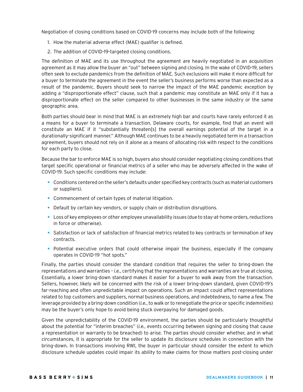Negotiation of closing conditions based on COVID-19 concerns may include both of the following:

- 1. How the material adverse effect (MAE) qualifier is defined.
- 2. The addition of COVID-19-targeted closing conditions.

The definition of MAE and its use throughout the agreement are heavily negotiated in an acquisition agreement as it may allow the buyer an "out" between signing and closing. In the wake of COVID-19, sellers often seek to exclude pandemics from the definition of MAE. Such exclusions will make it more difficult for a buyer to terminate the agreement in the event the seller's business performs worse than expected as a result of the pandemic. Buyers should seek to narrow the impact of the MAE pandemic exception by adding a "disproportionate effect" clause, such that a pandemic may constitute an MAE only if it has a disproportionate effect on the seller compared to other businesses in the same industry or the same geographic area.

Both parties should bear in mind that MAE is an extremely high bar and courts have rarely enforced it as a means for a buyer to terminate a transaction. Delaware courts, for example, find that an event will constitute an MAE if it "substantially threaten[s] the overall earnings potential of the target in a durationally-significant manner." Although MAE continues to be a heavily negotiated term in a transaction agreement, buyers should not rely on it alone as a means of allocating risk with respect to the conditions for each party to close.

Because the bar to enforce MAE is so high, buyers also should consider negotiating closing conditions that target specific operational or financial metrics of a seller who may be adversely affected in the wake of COVID-19. Such specific conditions may include:

- Conditions centered on the seller's defaults under specified key contracts (such as material customers or suppliers).
- Commencement of certain types of material litigation.
- Default by certain key vendors, or supply chain or distribution disruptions.
- Loss of key employees or other employee unavailability issues (due to stay-at-home orders, reductions in force or otherwise).
- Satisfaction or lack of satisfaction of financial metrics related to key contracts or termination of key contracts.
- **Potential executive orders that could otherwise impair the business, especially if the company** operates in COVID-19 "hot spots."

Finally, the parties should consider the standard condition that requires the seller to bring-down the representations and warranties – *i.e.*, certifying that the representations and warranties are true at closing. Essentially, a lower bring-down standard makes it easier for a buyer to walk away from the transaction. Sellers, however, likely will be concerned with the risk of a lower bring-down standard, given COVID-19's far-reaching and often unpredictable impact on operations. Such an impact could affect representations related to top customers and suppliers, normal business operations, and indebtedness, to name a few. The leverage provided by a bring-down condition (*i.e.*, to walk or to renegotiate the price or specific indemnities) may be the buyer's only hope to avoid being stuck overpaying for damaged goods.

Given the unpredictability of the COVID-19 environment, the parties should be particularly thoughtful about the potential for "interim breaches" (*i.e.*, events occurring between signing and closing that cause a representation or warranty to be breached) to arise. The parties should consider whether, and in what circumstances, it is appropriate for the seller to update its disclosure schedules in connection with the bring-down. In transactions involving RWI, the buyer in particular should consider the extent to which disclosure schedule updates could impair its ability to make claims for those matters post-closing under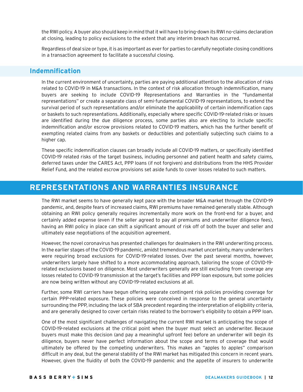<span id="page-13-0"></span>the RWI policy. A buyer also should keep in mind that it will have to bring-down its RWI no-claims declaration at closing, leading to policy exclusions to the extent that any interim breach has occurred.

Regardless of deal size or type, it is as important as ever for parties to carefully negotiate closing conditions in a transaction agreement to facilitate a successful closing.

#### **Indemnification**

In the current environment of uncertainty, parties are paying additional attention to the allocation of risks related to COVID-19 in M&A transactions. In the context of risk allocation through indemnification, many buyers are seeking to include COVID-19 Representations and Warranties in the "fundamental representations" or create a separate class of semi-fundamental COVID-19 representations, to extend the survival period of such representations and/or eliminate the applicability of certain indemnification caps or baskets to such representations. Additionally, especially where specific COVID-19-related risks or issues are identified during the due diligence process, some parties also are electing to include specific indemnification and/or escrow provisions related to COVID-19 matters, which has the further benefit of exempting related claims from any baskets or deductibles and potentially subjecting such claims to a higher cap.

These specific indemnification clauses can broadly include all COVID-19 matters, or specifically identified COVID-19 related risks of the target business, including personnel and patient health and safety claims, deferred taxes under the CARES Act, PPP loans (if not forgiven) and distributions from the HHS Provider Relief Fund, and the related escrow provisions set aside funds to cover losses related to such matters.

### **REPRESENTATIONS AND WARRANTIES INSURANCE**

The RWI market seems to have generally kept pace with the broader M&A market through the COVID-19 pandemic, and, despite fears of increased claims, RWI premiums have remained generally stable. Although obtaining an RWI policy generally requires incrementally more work on the front-end for a buyer, and certainly added expense (even if the seller agreed to pay all premiums and underwriter diligence fees), having an RWI policy in place can shift a significant amount of risk off of both the buyer and seller and ultimately ease negotiations of the acquisition agreement.

However, the novel coronavirus has presented challenges for dealmakers in the RWI underwriting process. In the earlier stages of the COVID-19 pandemic, amidst tremendous market uncertainty, many underwriters were requiring broad exclusions for COVID-19-related losses. Over the past several months, however, underwriters largely have shifted to a more accommodating approach, tailoring the scope of COVID-19 related exclusions based on diligence. Most underwriters generally are still excluding from coverage any losses related to COVID-19 transmission at the target's facilities and PPP loan exposure, but some policies are now being written without any COVID-19-related exclusions at all.

Further, some RWI carriers have begun offering separate contingent risk policies providing coverage for certain PPP-related exposure. These policies were conceived in response to the general uncertainty surrounding the PPP, including the lack of SBA precedent regarding the interpretation of eligibility criteria, and are generally designed to cover certain risks related to the borrower's eligibility to obtain a PPP loan.

One of the most significant challenges of navigating the current RWI market is anticipating the scope of COVID-19-related exclusions at the critical point when the buyer must select an underwriter. Because buyers must make this decision (and pay a meaningful upfront fee) before an underwriter will begin its diligence, buyers never have perfect information about the scope and terms of coverage that would ultimately be offered by the competing underwriters. This makes an "apples to apples" comparison difficult in any deal, but the general stability of the RWI market has mitigated this concern in recent years. However, given the fluidity of both the COVID-19 pandemic and the appetite of insurers to underwrite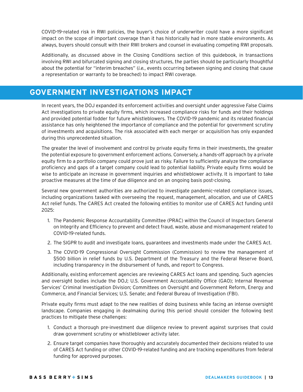<span id="page-14-0"></span>COVID-19-related risk in RWI policies, the buyer's choice of underwriter could have a more significant impact on the scope of important coverage than it has historically had in more stable environments. As always, buyers should consult with their RWI brokers and counsel in evaluating competing RWI proposals.

Additionally, as discussed above in the Closing Conditions section of this guidebook, in transactions involving RWI and bifurcated signing and closing structures, the parties should be particularly thoughtful about the potential for "interim breaches" (*i.e.*, events occurring between signing and closing that cause a representation or warranty to be breached) to impact RWI coverage.

## **GOVERNMENT INVESTIGATIONS IMPACT**

In recent years, the DOJ expanded its enforcement activities and oversight under aggressive False Claims Act investigations to private equity firms, which increased compliance risks for funds and their holdings and provided potential fodder for future whistleblowers. The COVID-19 pandemic and its related financial assistance has only heightened the importance of compliance and the potential for government scrutiny of investments and acquisitions. The risk associated with each merger or acquisition has only expanded during this unprecedented situation.

The greater the level of involvement and control by private equity firms in their investments, the greater the potential exposure to government enforcement actions. Conversely, a hands-off approach by a private equity firm to a portfolio company could prove just as risky. Failure to sufficiently analyze the compliance proficiency and gaps of a target company could lead to potential liability. Private equity firms would be wise to anticipate an increase in government inquiries and whistleblower activity. It is important to take proactive measures at the time of due diligence and on an ongoing basis post-closing.

Several new government authorities are authorized to investigate pandemic-related compliance issues, including organizations tasked with overseeing the request, management, allocation, and use of CARES Act relief funds. The CARES Act created the following entities to monitor use of CARES Act funding until 2025:

- 1. The Pandemic Response Accountability Committee (PRAC) within the Council of Inspectors General on Integrity and Efficiency to prevent and detect fraud, waste, abuse and mismanagement related to COVID-19-related funds.
- 2. The SIGPR to audit and investigate loans, guarantees and investments made under the CARES Act.
- 3. The COVID-19 Congressional Oversight Commission (Commission) to review the management of \$500 billion in relief funds by U.S. Department of the Treasury and the Federal Reserve Board, including transparency in the disbursement of funds, and report to Congress.

Additionally, existing enforcement agencies are reviewing CARES Act loans and spending. Such agencies and oversight bodies include the DOJ; U.S. Government Accountability Office (GAO); Internal Revenue Services' Criminal Investigation Division; Committees on Oversight and Government Reform, Energy and Commerce, and Financial Services; U.S. Senate; and Federal Bureau of Investigation (FBI).

Private equity firms must adapt to the new realities of doing business while facing an intense oversight landscape. Companies engaging in dealmaking during this period should consider the following best practices to mitigate these challenges:

- 1. Conduct a thorough pre-investment due diligence review to prevent against surprises that could draw government scrutiny or whistleblower activity later.
- 2. Ensure target companies have thoroughly and accurately documented their decisions related to use of CARES Act funding or other COVID-19-related funding and are tracking expenditures from federal funding for approved purposes.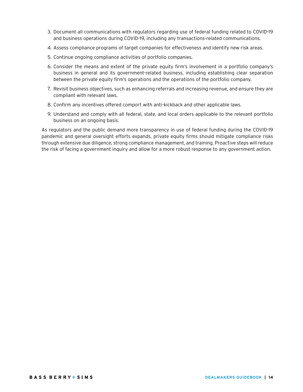- 3. Document all communications with regulators regarding use of federal funding related to COVID-19 and business operations during COVID-19, including any transactions-related communications.
- 4. Assess compliance programs of target companies for effectiveness and identify new risk areas.
- 5. Continue ongoing compliance activities of portfolio companies.
- 6. Consider the means and extent of the private equity firm's involvement in a portfolio company's business in general and its government-related business, including establishing clear separation between the private equity firm's operations and the operations of the portfolio company.
- 7. Revisit business objectives, such as enhancing referrals and increasing revenue, and ensure they are compliant with relevant laws.
- 8. Confirm any incentives offered comport with anti-kickback and other applicable laws.
- 9. Understand and comply with all federal, state, and local orders applicable to the relevant portfolio business on an ongoing basis.

As regulators and the public demand more transparency in use of federal funding during the COVID-19 pandemic and general oversight efforts expands, private equity firms should mitigate compliance risks through extensive due diligence, strong compliance management, and training. Proactive steps will reduce the risk of facing a government inquiry and allow for a more robust response to any government action.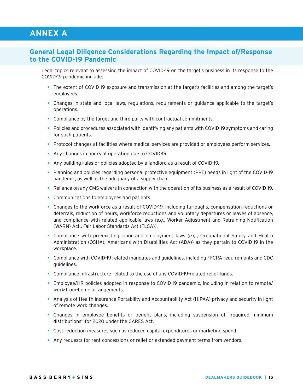## <span id="page-16-0"></span>**ANNEX A**

#### **General Legal Diligence Considerations Regarding the Impact of/Response to the COVID-19 Pandemic**

Legal topics relevant to assessing the impact of COVID-19 on the target's business in its response to the COVID-19 pandemic include:

- The extent of COVID-19 exposure and transmission at the target's facilities and among the target's employees.
- Changes in state and local laws, regulations, requirements or guidance applicable to the target's operations.
- Compliance by the target and third party with contractual commitments.
- **Policies and procedures associated with identifying any patients with COVID-19 symptoms and caring** for such patients.
- **Protocol changes at facilities where medical services are provided or employees perform services.**
- Any changes in hours of operation due to COVID-19.
- Any building rules or policies adopted by a landlord as a result of COVID-19.
- Planning and policies regarding personal protective equipment (PPE) needs in light of the COVID-19 pandemic, as well as the adequacy of a supply chain.
- Reliance on any CMS waivers in connection with the operation of its business as a result of COVID-19.
- **Communications to employees and patients.**
- Changes to the workforce as a result of COVID-19, including furloughs, compensation reductions or deferrals, reduction of hours, workforce reductions and voluntary departures or leaves of absence, and compliance with related applicable laws (*e.g.*, Worker Adjustment and Retraining Notification (WARN) Act,, Fair Labor Standards Act (FLSA)).
- Compliance with pre-existing labor and employment laws (*e.g.*, Occupational Safety and Health Administration (OSHA), Americans with Disabilities Act (ADA)) as they pertain to COVID-19 in the workplace.
- Compliance with COVID-19 related mandates and guidelines, including FFCRA requirements and CDC guidelines.
- Compliance infrastructure related to the use of any COVID-19-related relief funds.
- Employee/HR policies adopted in response to COVID-19 pandemic, including in relation to remote/ work-from-home arrangements.
- Analysis of Health Insurance Portability and Accountability Act (HIPAA) privacy and security in light of remote work changes.
- Changes in employee benefits or benefit plans, including suspension of "required minimum distributions" for 2020 under the CARES Act.
- Cost reduction measures such as reduced capital expenditures or marketing spend.
- Any requests for rent concessions or relief or extended payment terms from vendors.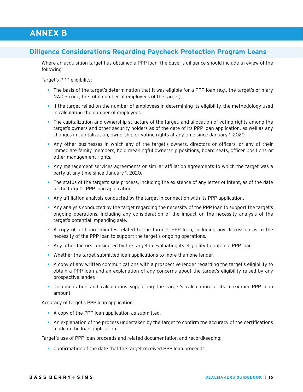## <span id="page-17-0"></span>**ANNEX B**

#### **Diligence Considerations Regarding Paycheck Protection Program Loans**

Where an acquisition target has obtained a PPP loan, the buyer's diligence should include a review of the following:

Target's PPP eligibility:

- The basis of the target's determination that it was eligible for a PPP loan (*e.g.*, the target's primary NAICS code, the total number of employees of the target).
- If the target relied on the number of employees in determining its eligibility, the methodology used in calculating the number of employees.
- The capitalization and ownership structure of the target, and allocation of voting rights among the target's owners and other security holders as of the date of its PPP loan application, as well as any changes in capitalization, ownership or voting rights at any time since January 1, 2020.
- Any other businesses in which any of the target's owners, directors or officers, or any of their immediate family members, hold meaningful ownership positions, board seats, officer positions or other management rights.
- Any management services agreements or similar affiliation agreements to which the target was a party at any time since January 1, 2020.
- The status of the target's sale process, including the existence of any letter of intent, as of the date of the target's PPP loan application.
- Any affiliation analysis conducted by the target in connection with its PPP application.
- Any analysis conducted by the target regarding the necessity of the PPP loan to support the target's ongoing operations, including any consideration of the impact on the necessity analysis of the target's potential impending sale.
- A copy of all board minutes related to the target's PPP loan, including any discussion as to the necessity of the PPP loan to support the target's ongoing operations.
- Any other factors considered by the target in evaluating its eligibility to obtain a PPP loan.
- Whether the target submitted loan applications to more than one lender.
- A copy of any written communications with a prospective lender regarding the target's eligibility to obtain a PPP loan and an explanation of any concerns about the target's eligibility raised by any prospective lender.
- **-** Documentation and calculations supporting the target's calculation of its maximum PPP loan amount.

Accuracy of target's PPP loan application:

- A copy of the PPP loan application as submitted.
- An explanation of the process undertaken by the target to confirm the accuracy of the certifications made in the loan application.

Target's use of PPP loan proceeds and related documentation and recordkeeping:

Confirmation of the date that the target received PPP loan proceeds.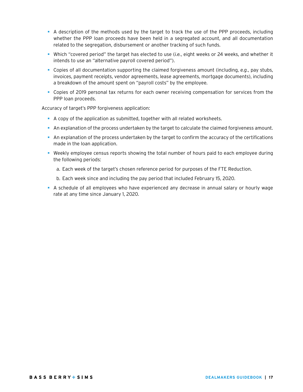- A description of the methods used by the target to track the use of the PPP proceeds, including whether the PPP loan proceeds have been held in a segregated account, and all documentation related to the segregation, disbursement or another tracking of such funds.
- Which "covered period" the target has elected to use (*i.e.*, eight weeks or 24 weeks, and whether it intends to use an "alternative payroll covered period").
- Copies of all documentation supporting the claimed forgiveness amount (including, *e.g.*, pay stubs, invoices, payment receipts, vendor agreements, lease agreements, mortgage documents), including a breakdown of the amount spent on "payroll costs" by the employee.
- Copies of 2019 personal tax returns for each owner receiving compensation for services from the PPP loan proceeds.

Accuracy of target's PPP forgiveness application:

- A copy of the application as submitted, together with all related worksheets.
- An explanation of the process undertaken by the target to calculate the claimed forgiveness amount.
- An explanation of the process undertaken by the target to confirm the accuracy of the certifications made in the loan application.
- Weekly employee census reports showing the total number of hours paid to each employee during the following periods:
	- a. Each week of the target's chosen reference period for purposes of the FTE Reduction.
	- b. Each week since and including the pay period that included February 15, 2020.
- A schedule of all employees who have experienced any decrease in annual salary or hourly wage rate at any time since January 1, 2020.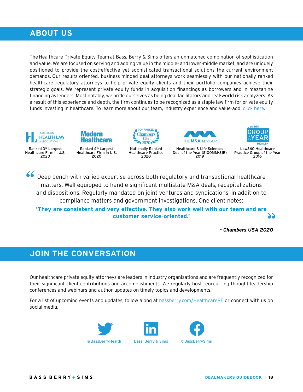## <span id="page-19-0"></span>**ABOUT US**

The [Healthcare Private Equity Team](https://communications.bassberry.com/api/email/handler?sid=blankform&redirect=https%3a%2f%2fwww.bassberry.com%2fservices%2fhealthcare%2fhealthcare-private-equity%2f) at Bass, Berry & Sims offers an unmatched combination of sophistication and value. We are focused on serving and adding value in the middle- and lower-middle market, and are uniquely positioned to provide the cost-effective yet sophisticated transactional solutions the current environment demands. Our results-oriented, business-minded deal attorneys work seamlessly with our nationally ranked healthcare regulatory attorneys to help private equity clients and their portfolio companies achieve their strategic goals. We represent private equity funds in acquisition financings as borrowers and in mezzanine financing as lenders. Most notably, we pride ourselves as being deal facilitators and real-world risk analyzers. As a result of this experience and depth, the firm continues to be recognized as a staple law firm for private equity funds investing in healthcare. To learn more about our team, industry experience and value-add, [click here.](https://www.bassberry.com/services/healthcare/healthcare-private-equity/)





Ranked 3rd Largest Healthcare Firm in U.S. 2020

Ranked 4th Largest Healthcare Firm in U.S. 2020



2020



Healthcare & Life Sciences Deal of the Year (\$100MM-\$1B) 2019



Law360 Healthcare Practice Group of the Year 2016

Deep bench with varied expertise across both regulatory and transactional healthcare matters. Well equipped to handle significant multistate M&A deals, recapitalizations and dispositions. Regularly mandated on joint ventures and syndications, in addition to compliance matters and government investigations. One client notes: *"*

**'They are consistent and very effective. They also work well with our team and are customer service-oriented.'**  *"*

*- Chambers USA 2020*

## **JOIN THE CONVERSATION**

Our healthcare private equity attorneys are leaders in industry organizations and are frequently recognized for their significant client contributions and accomplishments. We regularly host reoccurring thought leadership conferences and webinars and author updates on timely topics and developments.

For a list of upcoming events and updates, follow along at [bassberry.com/HealthcarePE](https://www.bassberry.com/services/healthcare/healthcare-private-equity/ ) or connect with us on social media.







[@BassBerryHealth](https://twitter.com/BassBerryHealth) [Bass, Berry & Sims](https://www.linkedin.com/company/bass-berry-&-sims/) [@BassBerrySims](https://www.facebook.com/BassBerrySims/)